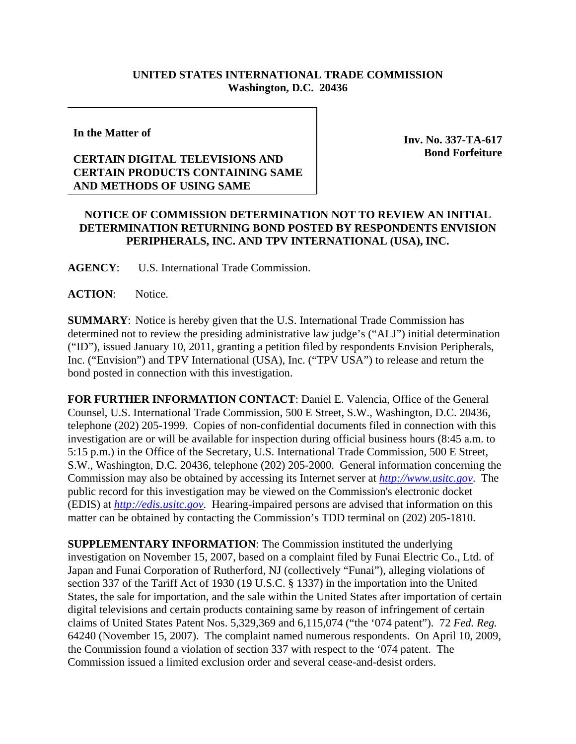## **UNITED STATES INTERNATIONAL TRADE COMMISSION Washington, D.C. 20436**

**In the Matter of** 

## **CERTAIN DIGITAL TELEVISIONS AND CERTAIN PRODUCTS CONTAINING SAME AND METHODS OF USING SAME**

**Inv. No. 337-TA-617 Bond Forfeiture**

## **NOTICE OF COMMISSION DETERMINATION NOT TO REVIEW AN INITIAL DETERMINATION RETURNING BOND POSTED BY RESPONDENTS ENVISION PERIPHERALS, INC. AND TPV INTERNATIONAL (USA), INC.**

**AGENCY**: U.S. International Trade Commission.

ACTION: Notice.

**SUMMARY**: Notice is hereby given that the U.S. International Trade Commission has determined not to review the presiding administrative law judge's ("ALJ") initial determination ("ID"), issued January 10, 2011, granting a petition filed by respondents Envision Peripherals, Inc. ("Envision") and TPV International (USA), Inc. ("TPV USA") to release and return the bond posted in connection with this investigation.

**FOR FURTHER INFORMATION CONTACT**: Daniel E. Valencia, Office of the General Counsel, U.S. International Trade Commission, 500 E Street, S.W., Washington, D.C. 20436, telephone (202) 205-1999. Copies of non-confidential documents filed in connection with this investigation are or will be available for inspection during official business hours (8:45 a.m. to 5:15 p.m.) in the Office of the Secretary, U.S. International Trade Commission, 500 E Street, S.W., Washington, D.C. 20436, telephone (202) 205-2000. General information concerning the Commission may also be obtained by accessing its Internet server at *http://www.usitc.gov*. The public record for this investigation may be viewed on the Commission's electronic docket (EDIS) at *http://edis.usitc.gov*. Hearing-impaired persons are advised that information on this matter can be obtained by contacting the Commission's TDD terminal on (202) 205-1810.

**SUPPLEMENTARY INFORMATION**: The Commission instituted the underlying investigation on November 15, 2007, based on a complaint filed by Funai Electric Co., Ltd. of Japan and Funai Corporation of Rutherford, NJ (collectively "Funai"), alleging violations of section 337 of the Tariff Act of 1930 (19 U.S.C. § 1337) in the importation into the United States, the sale for importation, and the sale within the United States after importation of certain digital televisions and certain products containing same by reason of infringement of certain claims of United States Patent Nos. 5,329,369 and 6,115,074 ("the '074 patent"). 72 *Fed. Reg.* 64240 (November 15, 2007). The complaint named numerous respondents. On April 10, 2009, the Commission found a violation of section 337 with respect to the '074 patent. The Commission issued a limited exclusion order and several cease-and-desist orders.